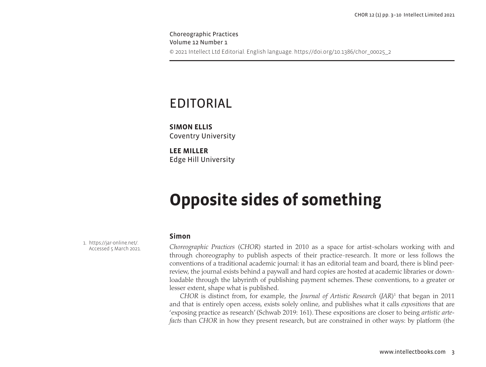Choreographic Practices Volume 12 Number 1 © 2021 Intellect Ltd Editorial. English language. https://doi.org/10.1386/chor\_00025\_2

## EDITORIAL

**SIMON ELLIS** Coventry University

**LEE MILLER** Edge Hill University

# **Opposite sides of something**

1. <https://jar-online.net/>. Accessed 5 March 2021.

#### **Simon**

*Choreographic Practices* (*CHOR*) started in 2010 as a space for artist-scholars working with and through choreography to publish aspects of their practice-research. It more or less follows the conventions of a traditional academic journal: it has an editorial team and board, there is blind peerreview, the journal exists behind a paywall and hard copies are hosted at academic libraries or downloadable through the labyrinth of publishing payment schemes. These conventions, to a greater or lesser extent, shape what is published.

*CHOR* is distinct from, for example, the *Journal of Artistic Research* (*JAR*)1 that began in 2011 and that is entirely open access, exists solely online, and publishes what it calls *expositions* that are 'exposing practice as research' (Schwab 2019: 161). These expositions are closer to being *artistic artefacts* than *CHOR* in how they present research, but are constrained in other ways: by platform (the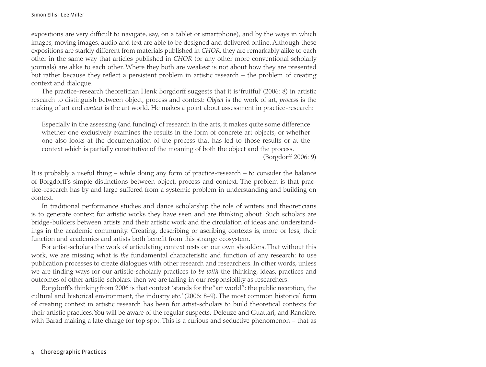expositions are very difficult to navigate, say, on a tablet or smartphone), and by the ways in which images, moving images, audio and text are able to be designed and delivered online. Although these expositions are starkly different from materials published in *CHOR*, they are remarkably alike to each other in the same way that articles published in *CHOR* (or any other more conventional scholarly journals) are alike to each other. Where they both are weakest is not about how they are presented but rather because they reflect a persistent problem in artistic research – the problem of creating context and dialogue.

The practice-research theoretician Henk Borgdorff suggests that it is 'fruitful' (2006: 8) in artistic research to distinguish between object, process and context: *Object* is the work of art, *process* is the making of art and *context* is the art world. He makes a point about assessment in practice-research:

Especially in the assessing (and funding) of research in the arts, it makes quite some difference whether one exclusively examines the results in the form of concrete art objects, or whether one also looks at the documentation of the process that has led to those results or at the context which is partially constitutive of the meaning of both the object and the process.

(Borgdorff 2006: 9)

It is probably a useful thing – while doing any form of practice-research – to consider the balance of Borgdorff's simple distinctions between object, process and context. The problem is that practice-research has by and large suffered from a systemic problem in understanding and building on context.

In traditional performance studies and dance scholarship the role of writers and theoreticians is to generate context for artistic works they have seen and are thinking about. Such scholars are bridge-builders between artists and their artistic work and the circulation of ideas and understandings in the academic community. Creating, describing or ascribing contexts is, more or less, their function and academics and artists both benefit from this strange ecosystem.

For artist-scholars the work of articulating context rests on our own shoulders. That without this work, we are missing what is *the* fundamental characteristic and function of any research: to use publication processes to create dialogues with other research and researchers. In other words, unless we are finding ways for our artistic-scholarly practices to *be with* the thinking, ideas, practices and outcomes of other artistic-scholars, then we are failing in our responsibility as researchers.

Borgdorff's thinking from 2006 is that context 'stands for the "art world": the public reception, the cultural and historical environment, the industry etc.' (2006: 8–9). The most common historical form of creating context in artistic research has been for artist-scholars to build theoretical contexts for their artistic practices. You will be aware of the regular suspects: Deleuze and Guattari, and Rancière, with Barad making a late charge for top spot. This is a curious and seductive phenomenon – that as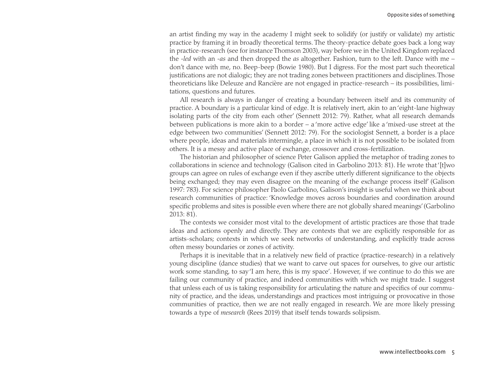an artist finding my way in the academy I might seek to solidify (or justify or validate) my artistic practice by framing it in broadly theoretical terms. The theory-practice debate goes back a long way in practice-research (see for instance Thomson 2003), way before we in the United Kingdom replaced the *-led* with an *-as* and then dropped the *as* altogether. Fashion, turn to the left. Dance with me – don't dance with me, no. Beep-beep (Bowie 1980). But I digress. For the most part such theoretical justifications are not dialogic; they are not trading zones between practitioners and disciplines. Those theoreticians like Deleuze and Rancière are not engaged in practice-research – its possibilities, limitations, questions and futures.

All research is always in danger of creating a boundary between itself and its community of practice. A boundary is a particular kind of edge. It is relatively inert, akin to an 'eight-lane highway isolating parts of the city from each other' (Sennett 2012: 79). Rather, what all research demands between publications is more akin to a border – a 'more active edge' like a 'mixed-use street at the edge between two communities' (Sennett 2012: 79). For the sociologist Sennett, a border is a place where people, ideas and materials intermingle, a place in which it is not possible to be isolated from others. It is a messy and active place of exchange, crossover and cross-fertilization.

The historian and philosopher of science Peter Galison applied the metaphor of trading zones to collaborations in science and technology (Galison cited in Garbolino 2013: 81). He wrote that '[t]wo groups can agree on rules of exchange even if they ascribe utterly different significance to the objects being exchanged; they may even disagree on the meaning of the exchange process itself' (Galison 1997: 783). For science philosopher Paolo Garbolino, Galison's insight is useful when we think about research communities of practice: 'Knowledge moves across boundaries and coordination around specific problems and sites is possible even where there are not globally shared meanings' (Garbolino 2013: 81).

The contexts we consider most vital to the development of artistic practices are those that trade ideas and actions openly and directly. They are contexts that we are explicitly responsible for as artists-scholars; contexts in which we seek networks of understanding, and explicitly trade across often messy boundaries or zones of activity.

Perhaps it is inevitable that in a relatively new field of practice (practice-research) in a relatively young discipline (dance studies) that we want to carve out spaces for ourselves, to give our artistic work some standing, to say 'I am here, this is my space'. However, if we continue to do this we are failing our community of practice, and indeed communities with which we might trade. I suggest that unless each of us is taking responsibility for articulating the nature and specifics of our community of practice, and the ideas, understandings and practices most intriguing or provocative in those communities of practice, then we are not really engaged in research. We are more likely pressing towards a type of *mesearch* (Rees 2019) that itself tends towards solipsism.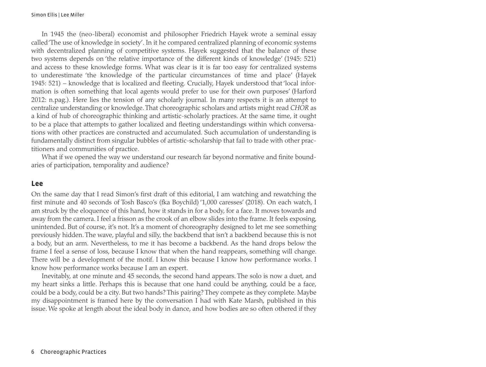In 1945 the (neo-liberal) economist and philosopher Friedrich Hayek wrote a seminal essay called 'The use of knowledge in society'. In it he compared centralized planning of economic systems with decentralized planning of competitive systems. Hayek suggested that the balance of these two systems depends on 'the relative importance of the different kinds of knowledge' (1945: 521) and access to these knowledge forms. What was clear is it is far too easy for centralized systems to underestimate 'the knowledge of the particular circumstances of time and place' (Hayek 1945: 521) – knowledge that is localized and fleeting. Crucially, Hayek understood that 'local information is often something that local agents would prefer to use for their own purposes' (Harford 2012: n.pag.). Here lies the tension of any scholarly journal. In many respects it is an attempt to centralize understanding or knowledge. That choreographic scholars and artists might read *CHOR* as a kind of hub of choreographic thinking and artistic-scholarly practices. At the same time, it ought to be a place that attempts to gather localized and fleeting understandings within which conversations with other practices are constructed and accumulated. Such accumulation of understanding is fundamentally distinct from singular bubbles of artistic-scholarship that fail to trade with other practitioners and communities of practice.

What if we opened the way we understand our research far beyond normative and finite boundaries of participation, temporality and audience?

#### **Lee**

On the same day that I read Simon's first draft of this editorial, I am watching and rewatching the first minute and 40 seconds of Tosh Basco's (fka Boychild) '1,000 caresses' (2018). On each watch, I am struck by the eloquence of this hand, how it stands in for a body, for a face. It moves towards and away from the camera. I feel a frisson as the crook of an elbow slides into the frame. It feels exposing, unintended. But of course, it's not. It's a moment of choreography designed to let me see something previously hidden. The wave, playful and silly, the backbend that isn't a backbend because this is not a body, but an arm. Nevertheless, to me it has become a backbend. As the hand drops below the frame I feel a sense of loss, because I know that when the hand reappears, something will change. There will be a development of the motif. I know this because I know how performance works. I know how performance works because I am an expert.

Inevitably, at one minute and 45 seconds, the second hand appears. The solo is now a duet, and my heart sinks a little. Perhaps this is because that one hand could be anything, could be a face, could be a body, could be a city. But two hands? This pairing? They compete as they complete. Maybe my disappointment is framed here by the conversation I had with Kate Marsh, published in this issue. We spoke at length about the ideal body in dance, and how bodies are so often othered if they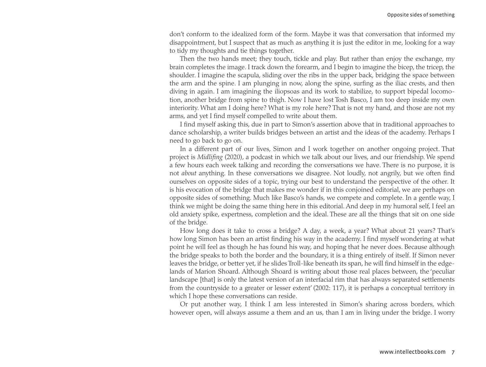don't conform to the idealized form of the form. Maybe it was that conversation that informed my disappointment, but I suspect that as much as anything it is just the editor in me, looking for a way to tidy my thoughts and tie things together.

Then the two hands meet; they touch, tickle and play. But rather than enjoy the exchange, my brain completes the image. I track down the forearm, and I begin to imagine the bicep, the tricep, the shoulder. I imagine the scapula, sliding over the ribs in the upper back, bridging the space between the arm and the spine. I am plunging in now, along the spine, surfing as the iliac crests, and then diving in again. I am imagining the iliopsoas and its work to stabilize, to support bipedal locomotion, another bridge from spine to thigh. Now I have lost Tosh Basco, I am too deep inside my own interiority. What am I doing here? What is my role here? That is not my hand, and those are not my arms, and yet I find myself compelled to write about them.

I find myself asking this, due in part to Simon's assertion above that in traditional approaches to dance scholarship, a writer builds bridges between an artist and the ideas of the academy. Perhaps I need to go back to go on.

In a different part of our lives, Simon and I work together on another ongoing project. That project is *Midlifing* (2020), a podcast in which we talk about our lives, and our friendship. We spend a few hours each week talking and recording the conversations we have. There is no purpose, it is not *about* anything. In these conversations we disagree. Not loudly, not angrily, but we often find ourselves on opposite sides of a topic, trying our best to understand the perspective of the other. It is his evocation of the bridge that makes me wonder if in this conjoined editorial, we are perhaps on opposite sides of something. Much like Basco's hands, we compete and complete. In a gentle way, I think we might be doing the same thing here in this editorial. And deep in my humoral self, I feel an old anxiety spike, expertness, completion and the ideal. These are all the things that sit on one side of the bridge.

How long does it take to cross a bridge? A day, a week, a year? What about 21 years? That's how long Simon has been an artist finding his way in the academy. I find myself wondering at what point he will feel as though he has found his way, and hoping that he never does. Because although the bridge speaks to both the border and the boundary, it is a thing entirely of itself. If Simon never leaves the bridge, or better yet, if he slides Troll-like beneath its span, he will find himself in the edgelands of Marion Shoard. Although Shoard is writing about those real places between, the 'peculiar landscape [that] is only the latest version of an interfacial rim that has always separated settlements from the countryside to a greater or lesser extent' (2002: 117), it is perhaps a conceptual territory in which I hope these conversations can reside.

Or put another way, I think I am less interested in Simon's sharing across borders, which however open, will always assume a them and an us, than I am in living under the bridge. I worry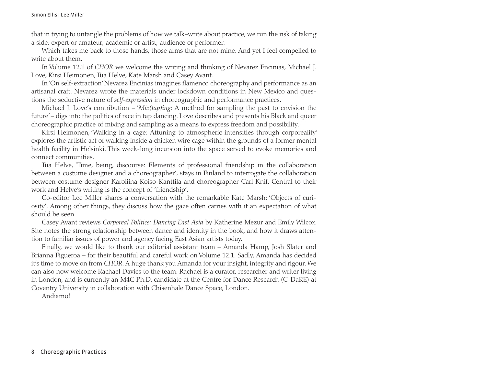that in trying to untangle the problems of how we talk–write about practice, we run the risk of taking a side: expert or amateur; academic or artist; audience or performer.

Which takes me back to those hands, those arms that are not mine. And yet I feel compelled to write about them.

In Volume 12.1 of *CHOR* we welcome the writing and thinking of Nevarez Encinias, Michael J. Love, Kirsi Heimonen, Tua Helve, Kate Marsh and Casey Avant.

In 'On self-extraction' Nevarez Encinias imagines flamenco choreography and performance as an artisanal craft. Nevarez wrote the materials under lockdown conditions in New Mexico and questions the seductive nature of *self-expression* in choreographic and performance practices.

Michael J. Love's contribution – '*Mix(tap)ing*: A method for sampling the past to envision the future' – digs into the politics of race in tap dancing. Love describes and presents his Black and queer choreographic practice of mixing and sampling as a means to express freedom and possibility.

Kirsi Heimonen, 'Walking in a cage: Attuning to atmospheric intensities through corporeality' explores the artistic act of walking inside a chicken wire cage within the grounds of a former mental health facility in Helsinki. This week-long incursion into the space served to evoke memories and connect communities.

Tua Helve, 'Time, being, discourse: Elements of professional friendship in the collaboration between a costume designer and a choreographer', stays in Finland to interrogate the collaboration between costume designer Karoliina Koiso-Kanttila and choreographer Carl Knif. Central to their work and Helve's writing is the concept of 'friendship'.

Co-editor Lee Miller shares a conversation with the remarkable Kate Marsh: 'Objects of curiosity'. Among other things, they discuss how the gaze often carries with it an expectation of what should be seen.

Casey Avant reviews *Corporeal Politics: Dancing East Asia* by Katherine Mezur and Emily Wilcox. She notes the strong relationship between dance and identity in the book, and how it draws attention to familiar issues of power and agency facing East Asian artists today.

Finally, we would like to thank our editorial assistant team – Amanda Hamp, Josh Slater and Brianna Figueroa – for their beautiful and careful work on Volume 12.1. Sadly, Amanda has decided it's time to move on from *CHOR*. A huge thank you Amanda for your insight, integrity and rigour. We can also now welcome Rachael Davies to the team. Rachael is a curator, researcher and writer living in London, and is currently an M4C Ph.D. candidate at the Centre for Dance Research (C-DaRE) at Coventry University in collaboration with Chisenhale Dance Space, London.

Andiamo!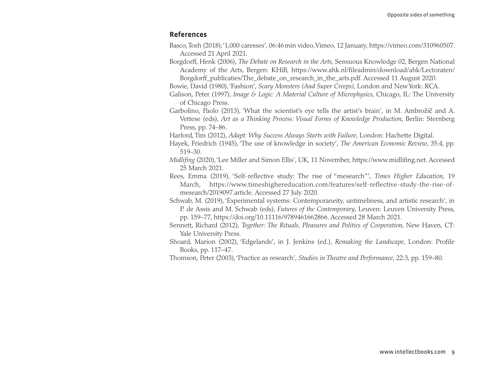#### **References**

Basco, Tosh (2018), '1,000 caresses', 06:46min video, Vimeo, 12 January,<https://vimeo.com/310960507>. Accessed 21 April 2021.

Borgdorff, Henk (2006), *The Debate on Research in the Arts*, Sensuous Knowledge 02, Bergen National Academy of the Arts, Bergen: KHiB, https://www.ahk.nl/fileadmin/download/ahk/Lectoraten/ Borgdorff\_publicaties/The\_debate\_on\_research\_in\_the\_arts.pdf. Accessed 11 August 2020.

Bowie, David (1980), 'Fashion', *Scary Monsters (And Super Creeps)*, London and New York: RCA.

Galison, Peter (1997), *Image & Logic: A Material Culture of Microphysics*, Chicago, IL: The University of Chicago Press.

Garbolino, Paolo (2013), 'What the scientist's eye tells the artist's brain', in M. Ambrožič and A. Vettese (eds), *Art as a Thinking Process: Visual Forms of Knowledge Production*, Berlin: Sternberg Press, pp. 74–86.

Harford, Tim (2012), *Adapt: Why Success Always Starts with Failure*, London: Hachette Digital.

- Hayek, Friedrich (1945), 'The use of knowledge in society', *The American Economic Review*, 35:4, pp. 519–30.
- *Midlifing* (2020), 'Lee Miller and Simon Ellis', UK, 11 November, <https://www.midlifing.net>. Accessed 25 March 2021.
- Rees, Emma (2019), 'Self-reflective study: The rise of "mesearch"', *Times Higher Education*, 19 March, [https://www.timeshighereducation.com/features/self-reflective-study-the-rise-of](https://www.timeshighereducation.com/features/self-reflective-study-the-rise-of-mesearch/2019097.article)[mesearch/2019097.article.](https://www.timeshighereducation.com/features/self-reflective-study-the-rise-of-mesearch/2019097.article) Accessed 27 July 2020.
- Schwab, M. (2019), 'Experimental systems: Contemporaneity, untimeliness, and artistic research', in P. de Assis and M. Schwab (eds), *Futures of the Contemporary*, Leuven: Leuven University Press, pp. 159–77, <https://doi.org/10.11116/9789461662866>. Accessed 28 March 2021.
- Sennett, Richard (2012), *Together: The Rituals, Pleasures and Politics of Cooperation*, New Haven, CT: Yale University Press.
- Shoard, Marion (2002), 'Edgelands', in J. Jenkins (ed.), *Remaking the Landscape*, London: Profile Books, pp. 117–47.
- Thomson, Peter (2003), 'Practice as research', *Studies in Theatre and Performance*, 22:3, pp. 159–80.